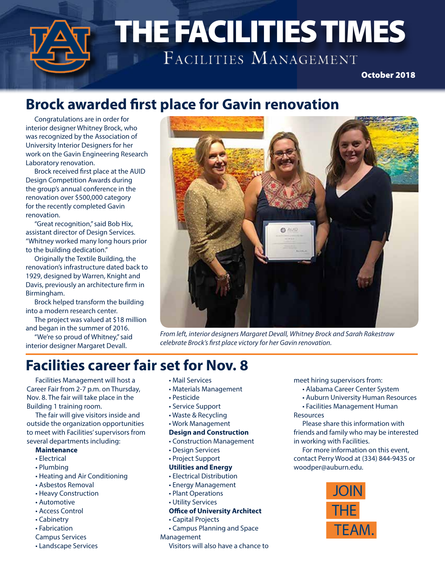# THE FACILITIES TIMES

October 2018

# **Brock awarded first place for Gavin renovation**

Congratulations are in order for interior designer Whitney Brock, who was recognized by the Association of University Interior Designers for her work on the Gavin Engineering Research Laboratory renovation.

Brock received first place at the AUID Design Competition Awards during the group's annual conference in the renovation over \$500,000 category for the recently completed Gavin renovation.

"Great recognition," said Bob Hix, assistant director of Design Services. "Whitney worked many long hours prior to the building dedication."

Originally the Textile Building, the renovation's infrastructure dated back to 1929, designed by Warren, Knight and Davis, previously an architecture firm in Birmingham.

Brock helped transform the building into a modern research center.

The project was valued at \$18 million and began in the summer of 2016.

"We're so proud of Whitney," said interior designer Margaret Devall.

# 0 4/10

*From left, interior designers Margaret Devall, Whitney Brock and Sarah Rakestraw celebrate Brock's first place victory for her Gavin renovation.*

### **Facilities career fair set for Nov. 8**

Facilities Management will host a Career Fair from 2-7 p.m. on Thursday, Nov. 8. The fair will take place in the Building 1 training room.

The fair will give visitors inside and outside the organization opportunities to meet with Facilities' supervisors from several departments including:

### **Maintenance**

- Electrical
- Plumbing
- Heating and Air Conditioning
- Asbestos Removal
- Heavy Construction
- Automotive
- Access Control
- Cabinetry
- Fabrication
- Campus Services
- Landscape Services
- Mail Services
- Materials Management
- Pesticide
- Service Support
- Waste & Recycling
- Work Management

### **Design and Construction**

- Construction Management
- Design Services
- Project Support
- **Utilities and Energy**
- Electrical Distribution
- Energy Management
- Plant Operations
- Utility Services

### **Office of University Architect**

- Capital Projects
- Campus Planning and Space
- Management
- Visitors will also have a chance to

meet hiring supervisors from:

- Alabama Career Center System
- Auburn University Human Resources
- Facilities Management Human Resources

Please share this information with friends and family who may be interested in working with Facilities.

For more information on this event, contact Perry Wood at (334) 844-9435 or woodper@auburn.edu.

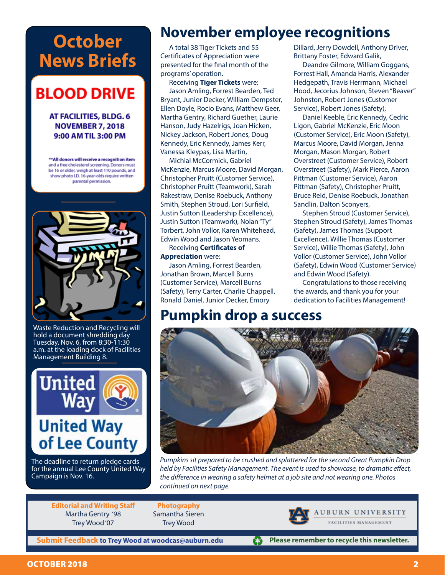# **October News Briefs**

# **BLOOD DRIVE**

### AT FACILITIES, BLDG. 6 **NOVEMBER 7, 2018** 9:00 AM TIL 3:00 PM

\*\* All donors will receive a recognition item and a free cholesterol screening. Donors must be 16 or older, weigh at least 110 pounds, and show photo I.D. 16-year-olds require written parental permission.



Waste Reduction and Recycling will hold a document shredding day Tuesday, Nov. 6, from 8:30-11:30 a.m. at the loading dock of Facilities Management Building 8.



The deadline to return pledge cards for the annual Lee County United Way Campaign is Nov. 16.

## **November employee recognitions**

A total 38 Tiger Tickets and 55 Certificates of Appreciation were presented for the final month of the programs' operation.

Receiving **Tiger Tickets** were: Jason Amling, Forrest Bearden, Ted Bryant, Junior Decker, William Dempster, Ellen Doyle, Rocio Evans, Matthew Geer, Martha Gentry, Richard Guether, Laurie Hanson, Judy Hazelrigs, Joan Hicken, Nickey Jackson, Robert Jones, Doug Kennedy, Eric Kennedy, James Kerr, Vanessa Kleypas, Lisa Martin,

Michial McCormick, Gabriel McKenzie, Marcus Moore, David Morgan, Christopher Pruitt (Customer Service), Christopher Pruitt (Teamwork), Sarah Rakestraw, Denise Roebuck, Anthony Smith, Stephen Stroud, Lori Surfield, Justin Sutton (Leadership Excellence), Justin Sutton (Teamwork), Nolan "Ty" Torbert, John Vollor, Karen Whitehead, Edwin Wood and Jason Yeomans.

Receiving **Certificates of Appreciation** were:

Jason Amling, Forrest Bearden, Jonathan Brown, Marcell Burns (Customer Service), Marcell Burns (Safety), Terry Carter, Charlie Chappell, Ronald Daniel, Junior Decker, Emory

Dillard, Jerry Dowdell, Anthony Driver, Brittany Foster, Edward Galik,

Deandre Gilmore, William Goggans, Forrest Hall, Amanda Harris, Alexander Hedgepath, Travis Herrmann, Michael Hood, Jecorius Johnson, Steven "Beaver" Johnston, Robert Jones (Customer Service), Robert Jones (Safety),

Daniel Keeble, Eric Kennedy, Cedric Ligon, Gabriel McKenzie, Eric Moon (Customer Service), Eric Moon (Safety), Marcus Moore, David Morgan, Jenna Morgan, Mason Morgan, Robert Overstreet (Customer Service), Robert Overstreet (Safety), Mark Pierce, Aaron Pittman (Customer Service), Aaron Pittman (Safety), Christopher Pruitt, Bruce Reid, Denise Roebuck, Jonathan Sandlin, Dalton Sconyers,

Stephen Stroud (Customer Service), Stephen Stroud (Safety), James Thomas (Safety), James Thomas (Support Excellence), Willie Thomas (Customer Service), Willie Thomas (Safety), John Vollor (Customer Service), John Vollor (Safety), Edwin Wood (Customer Service) and Edwin Wood (Safety).

Congratulations to those receiving the awards, and thank you for your dedication to Facilities Management!

### **Pumpkin drop a success**



*Pumpkins sit prepared to be crushed and splattered for the second Great Pumpkin Drop held by Facilities Safety Management. The event is used to showcase, to dramatic effect, the difference in wearing a safety helmet at a job site and not wearing one. Photos continued on next page.*

**Editorial and Writing Staff** Martha Gentry '98 Trey Wood '07

**Photography** Samantha Sieren Trey Wood



AUBURN UNIVERSITY FACILITIES MANAGEMENT

**Submit Feedback to Trey Wood at woodcas@auburn.edu**

**Please remember to recycle this newsletter.**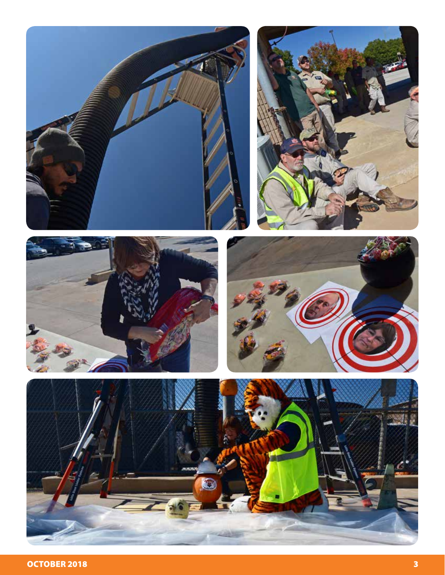